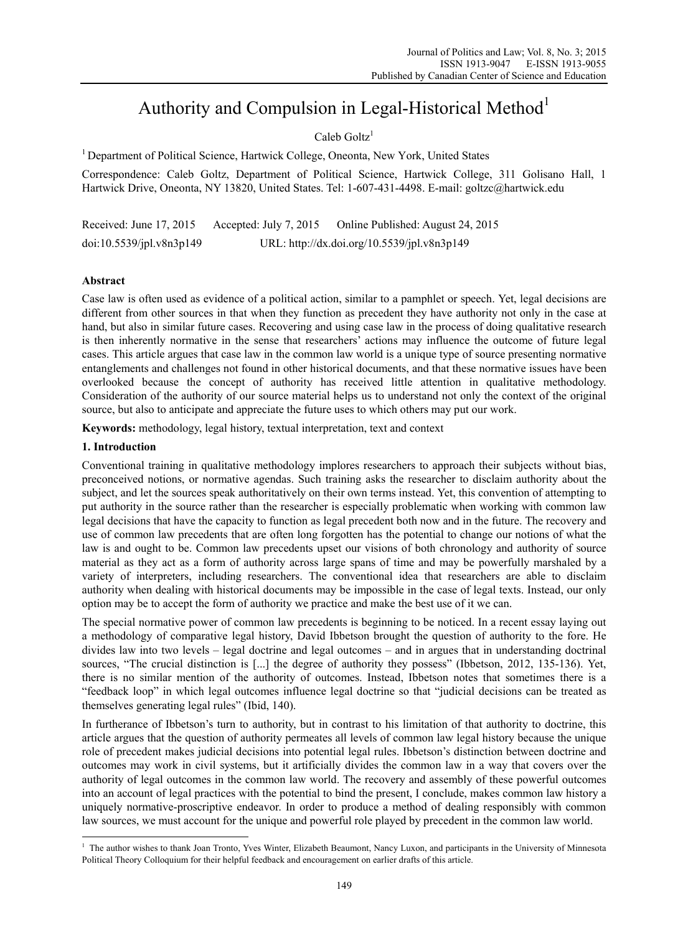# Authority and Compulsion in Legal-Historical Method<sup>1</sup>

 $Caleb$  Goltz<sup>1</sup>

1 Department of Political Science, Hartwick College, Oneonta, New York, United States

Correspondence: Caleb Goltz, Department of Political Science, Hartwick College, 311 Golisano Hall, 1 Hartwick Drive, Oneonta, NY 13820, United States. Tel: 1-607-431-4498. E-mail: goltzc@hartwick.edu

Received: June 17, 2015 Accepted: July 7, 2015 Online Published: August 24, 2015 doi:10.5539/jpl.v8n3p149 URL: http://dx.doi.org/10.5539/jpl.v8n3p149

# **Abstract**

Case law is often used as evidence of a political action, similar to a pamphlet or speech. Yet, legal decisions are different from other sources in that when they function as precedent they have authority not only in the case at hand, but also in similar future cases. Recovering and using case law in the process of doing qualitative research is then inherently normative in the sense that researchers' actions may influence the outcome of future legal cases. This article argues that case law in the common law world is a unique type of source presenting normative entanglements and challenges not found in other historical documents, and that these normative issues have been overlooked because the concept of authority has received little attention in qualitative methodology. Consideration of the authority of our source material helps us to understand not only the context of the original source, but also to anticipate and appreciate the future uses to which others may put our work.

**Keywords:** methodology, legal history, textual interpretation, text and context

## **1. Introduction**

Conventional training in qualitative methodology implores researchers to approach their subjects without bias, preconceived notions, or normative agendas. Such training asks the researcher to disclaim authority about the subject, and let the sources speak authoritatively on their own terms instead. Yet, this convention of attempting to put authority in the source rather than the researcher is especially problematic when working with common law legal decisions that have the capacity to function as legal precedent both now and in the future. The recovery and use of common law precedents that are often long forgotten has the potential to change our notions of what the law is and ought to be. Common law precedents upset our visions of both chronology and authority of source material as they act as a form of authority across large spans of time and may be powerfully marshaled by a variety of interpreters, including researchers. The conventional idea that researchers are able to disclaim authority when dealing with historical documents may be impossible in the case of legal texts. Instead, our only option may be to accept the form of authority we practice and make the best use of it we can.

The special normative power of common law precedents is beginning to be noticed. In a recent essay laying out a methodology of comparative legal history, David Ibbetson brought the question of authority to the fore. He divides law into two levels – legal doctrine and legal outcomes – and in argues that in understanding doctrinal sources, "The crucial distinction is [...] the degree of authority they possess" (Ibbetson, 2012, 135-136). Yet, there is no similar mention of the authority of outcomes. Instead, Ibbetson notes that sometimes there is a "feedback loop" in which legal outcomes influence legal doctrine so that "judicial decisions can be treated as themselves generating legal rules" (Ibid, 140).

In furtherance of Ibbetson's turn to authority, but in contrast to his limitation of that authority to doctrine, this article argues that the question of authority permeates all levels of common law legal history because the unique role of precedent makes judicial decisions into potential legal rules. Ibbetson's distinction between doctrine and outcomes may work in civil systems, but it artificially divides the common law in a way that covers over the authority of legal outcomes in the common law world. The recovery and assembly of these powerful outcomes into an account of legal practices with the potential to bind the present, I conclude, makes common law history a uniquely normative-proscriptive endeavor. In order to produce a method of dealing responsibly with common law sources, we must account for the unique and powerful role played by precedent in the common law world.

 1 The author wishes to thank Joan Tronto, Yves Winter, Elizabeth Beaumont, Nancy Luxon, and participants in the University of Minnesota Political Theory Colloquium for their helpful feedback and encouragement on earlier drafts of this article.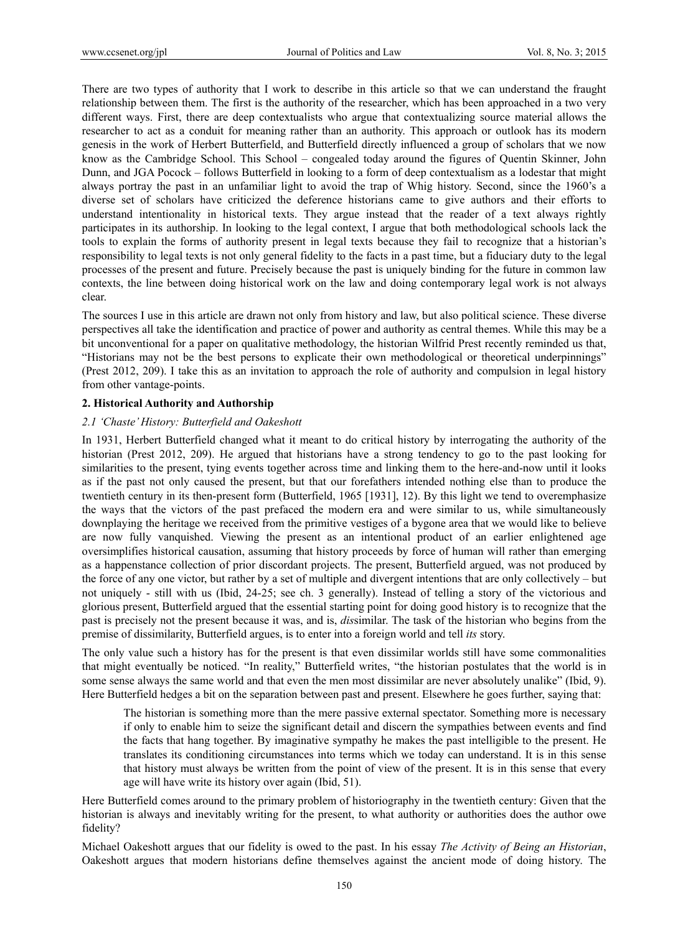There are two types of authority that I work to describe in this article so that we can understand the fraught relationship between them. The first is the authority of the researcher, which has been approached in a two very different ways. First, there are deep contextualists who argue that contextualizing source material allows the researcher to act as a conduit for meaning rather than an authority. This approach or outlook has its modern genesis in the work of Herbert Butterfield, and Butterfield directly influenced a group of scholars that we now know as the Cambridge School. This School – congealed today around the figures of Quentin Skinner, John Dunn, and JGA Pocock – follows Butterfield in looking to a form of deep contextualism as a lodestar that might always portray the past in an unfamiliar light to avoid the trap of Whig history. Second, since the 1960's a diverse set of scholars have criticized the deference historians came to give authors and their efforts to understand intentionality in historical texts. They argue instead that the reader of a text always rightly participates in its authorship. In looking to the legal context, I argue that both methodological schools lack the tools to explain the forms of authority present in legal texts because they fail to recognize that a historian's responsibility to legal texts is not only general fidelity to the facts in a past time, but a fiduciary duty to the legal processes of the present and future. Precisely because the past is uniquely binding for the future in common law contexts, the line between doing historical work on the law and doing contemporary legal work is not always clear.

The sources I use in this article are drawn not only from history and law, but also political science. These diverse perspectives all take the identification and practice of power and authority as central themes. While this may be a bit unconventional for a paper on qualitative methodology, the historian Wilfrid Prest recently reminded us that, "Historians may not be the best persons to explicate their own methodological or theoretical underpinnings" (Prest 2012, 209). I take this as an invitation to approach the role of authority and compulsion in legal history from other vantage-points.

#### **2. Historical Authority and Authorship**

#### *2.1 'Chaste' History: Butterfield and Oakeshott*

In 1931, Herbert Butterfield changed what it meant to do critical history by interrogating the authority of the historian (Prest 2012, 209). He argued that historians have a strong tendency to go to the past looking for similarities to the present, tying events together across time and linking them to the here-and-now until it looks as if the past not only caused the present, but that our forefathers intended nothing else than to produce the twentieth century in its then-present form (Butterfield, 1965 [1931], 12). By this light we tend to overemphasize the ways that the victors of the past prefaced the modern era and were similar to us, while simultaneously downplaying the heritage we received from the primitive vestiges of a bygone area that we would like to believe are now fully vanquished. Viewing the present as an intentional product of an earlier enlightened age oversimplifies historical causation, assuming that history proceeds by force of human will rather than emerging as a happenstance collection of prior discordant projects. The present, Butterfield argued, was not produced by the force of any one victor, but rather by a set of multiple and divergent intentions that are only collectively – but not uniquely - still with us (Ibid, 24-25; see ch. 3 generally). Instead of telling a story of the victorious and glorious present, Butterfield argued that the essential starting point for doing good history is to recognize that the past is precisely not the present because it was, and is, *dis*similar. The task of the historian who begins from the premise of dissimilarity, Butterfield argues, is to enter into a foreign world and tell *its* story.

The only value such a history has for the present is that even dissimilar worlds still have some commonalities that might eventually be noticed. "In reality," Butterfield writes, "the historian postulates that the world is in some sense always the same world and that even the men most dissimilar are never absolutely unalike" (Ibid, 9). Here Butterfield hedges a bit on the separation between past and present. Elsewhere he goes further, saying that:

The historian is something more than the mere passive external spectator. Something more is necessary if only to enable him to seize the significant detail and discern the sympathies between events and find the facts that hang together. By imaginative sympathy he makes the past intelligible to the present. He translates its conditioning circumstances into terms which we today can understand. It is in this sense that history must always be written from the point of view of the present. It is in this sense that every age will have write its history over again (Ibid, 51).

Here Butterfield comes around to the primary problem of historiography in the twentieth century: Given that the historian is always and inevitably writing for the present, to what authority or authorities does the author owe fidelity?

Michael Oakeshott argues that our fidelity is owed to the past. In his essay *The Activity of Being an Historian*, Oakeshott argues that modern historians define themselves against the ancient mode of doing history. The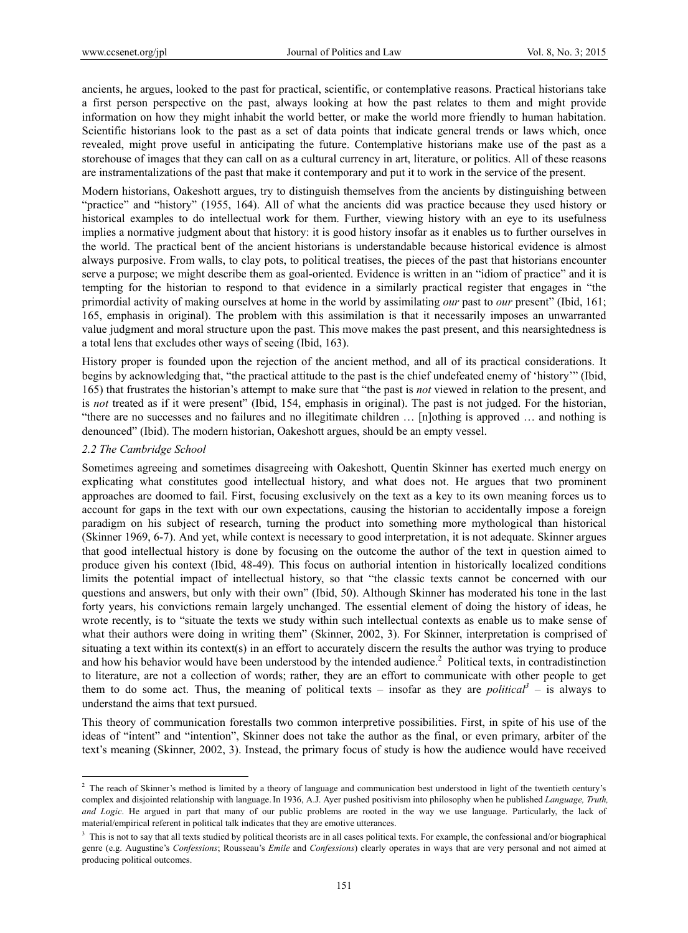ancients, he argues, looked to the past for practical, scientific, or contemplative reasons. Practical historians take a first person perspective on the past, always looking at how the past relates to them and might provide information on how they might inhabit the world better, or make the world more friendly to human habitation. Scientific historians look to the past as a set of data points that indicate general trends or laws which, once revealed, might prove useful in anticipating the future. Contemplative historians make use of the past as a storehouse of images that they can call on as a cultural currency in art, literature, or politics. All of these reasons are instramentalizations of the past that make it contemporary and put it to work in the service of the present.

Modern historians, Oakeshott argues, try to distinguish themselves from the ancients by distinguishing between "practice" and "history" (1955, 164). All of what the ancients did was practice because they used history or historical examples to do intellectual work for them. Further, viewing history with an eye to its usefulness implies a normative judgment about that history: it is good history insofar as it enables us to further ourselves in the world. The practical bent of the ancient historians is understandable because historical evidence is almost always purposive. From walls, to clay pots, to political treatises, the pieces of the past that historians encounter serve a purpose; we might describe them as goal-oriented. Evidence is written in an "idiom of practice" and it is tempting for the historian to respond to that evidence in a similarly practical register that engages in "the primordial activity of making ourselves at home in the world by assimilating *our* past to *our* present" (Ibid, 161; 165, emphasis in original). The problem with this assimilation is that it necessarily imposes an unwarranted value judgment and moral structure upon the past. This move makes the past present, and this nearsightedness is a total lens that excludes other ways of seeing (Ibid, 163).

History proper is founded upon the rejection of the ancient method, and all of its practical considerations. It begins by acknowledging that, "the practical attitude to the past is the chief undefeated enemy of 'history'" (Ibid, 165) that frustrates the historian's attempt to make sure that "the past is *not* viewed in relation to the present, and is *not* treated as if it were present" (Ibid, 154, emphasis in original). The past is not judged. For the historian, "there are no successes and no failures and no illegitimate children … [n]othing is approved … and nothing is denounced" (Ibid). The modern historian, Oakeshott argues, should be an empty vessel.

#### *2.2 The Cambridge School*

 $\overline{a}$ 

Sometimes agreeing and sometimes disagreeing with Oakeshott, Quentin Skinner has exerted much energy on explicating what constitutes good intellectual history, and what does not. He argues that two prominent approaches are doomed to fail. First, focusing exclusively on the text as a key to its own meaning forces us to account for gaps in the text with our own expectations, causing the historian to accidentally impose a foreign paradigm on his subject of research, turning the product into something more mythological than historical (Skinner 1969, 6-7). And yet, while context is necessary to good interpretation, it is not adequate. Skinner argues that good intellectual history is done by focusing on the outcome the author of the text in question aimed to produce given his context (Ibid, 48-49). This focus on authorial intention in historically localized conditions limits the potential impact of intellectual history, so that "the classic texts cannot be concerned with our questions and answers, but only with their own" (Ibid, 50). Although Skinner has moderated his tone in the last forty years, his convictions remain largely unchanged. The essential element of doing the history of ideas, he wrote recently, is to "situate the texts we study within such intellectual contexts as enable us to make sense of what their authors were doing in writing them" (Skinner, 2002, 3). For Skinner, interpretation is comprised of situating a text within its context(s) in an effort to accurately discern the results the author was trying to produce and how his behavior would have been understood by the intended audience.<sup>2</sup> Political texts, in contradistinction to literature, are not a collection of words; rather, they are an effort to communicate with other people to get them to do some act. Thus, the meaning of political texts – insofar as they are *political*<sup>3</sup> – is always to understand the aims that text pursued.

This theory of communication forestalls two common interpretive possibilities. First, in spite of his use of the ideas of "intent" and "intention", Skinner does not take the author as the final, or even primary, arbiter of the text's meaning (Skinner, 2002, 3). Instead, the primary focus of study is how the audience would have received

<sup>&</sup>lt;sup>2</sup> The reach of Skinner's method is limited by a theory of language and communication best understood in light of the twentieth century's complex and disjointed relationship with language.In 1936, A.J. Ayer pushed positivism into philosophy when he published *Language, Truth, and Logic*. He argued in part that many of our public problems are rooted in the way we use language. Particularly, the lack of material/empirical referent in political talk indicates that they are emotive utterances.

<sup>&</sup>lt;sup>3</sup> This is not to say that all texts studied by political theorists are in all cases political texts. For example, the confessional and/or biographical genre (e.g. Augustine's *Confessions*; Rousseau's *Emile* and *Confessions*) clearly operates in ways that are very personal and not aimed at producing political outcomes.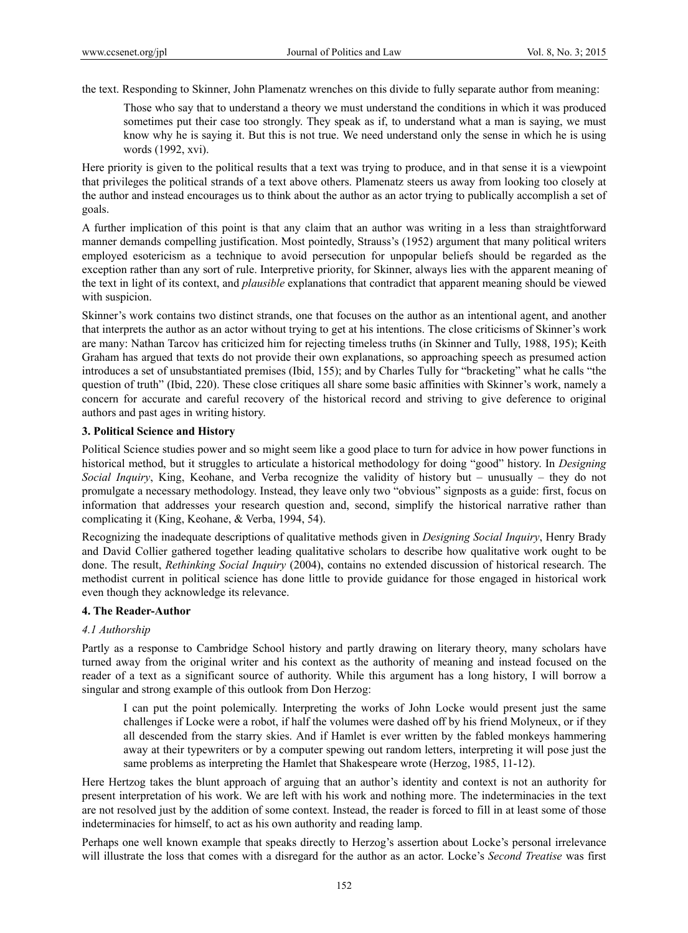the text. Responding to Skinner, John Plamenatz wrenches on this divide to fully separate author from meaning:

Those who say that to understand a theory we must understand the conditions in which it was produced sometimes put their case too strongly. They speak as if, to understand what a man is saying, we must know why he is saying it. But this is not true. We need understand only the sense in which he is using words (1992, xvi).

Here priority is given to the political results that a text was trying to produce, and in that sense it is a viewpoint that privileges the political strands of a text above others. Plamenatz steers us away from looking too closely at the author and instead encourages us to think about the author as an actor trying to publically accomplish a set of goals.

A further implication of this point is that any claim that an author was writing in a less than straightforward manner demands compelling justification. Most pointedly, Strauss's (1952) argument that many political writers employed esotericism as a technique to avoid persecution for unpopular beliefs should be regarded as the exception rather than any sort of rule. Interpretive priority, for Skinner, always lies with the apparent meaning of the text in light of its context, and *plausible* explanations that contradict that apparent meaning should be viewed with suspicion.

Skinner's work contains two distinct strands, one that focuses on the author as an intentional agent, and another that interprets the author as an actor without trying to get at his intentions. The close criticisms of Skinner's work are many: Nathan Tarcov has criticized him for rejecting timeless truths (in Skinner and Tully, 1988, 195); Keith Graham has argued that texts do not provide their own explanations, so approaching speech as presumed action introduces a set of unsubstantiated premises (Ibid, 155); and by Charles Tully for "bracketing" what he calls "the question of truth" (Ibid, 220). These close critiques all share some basic affinities with Skinner's work, namely a concern for accurate and careful recovery of the historical record and striving to give deference to original authors and past ages in writing history.

## **3. Political Science and History**

Political Science studies power and so might seem like a good place to turn for advice in how power functions in historical method, but it struggles to articulate a historical methodology for doing "good" history. In *Designing Social Inquiry*, King, Keohane, and Verba recognize the validity of history but – unusually – they do not promulgate a necessary methodology. Instead, they leave only two "obvious" signposts as a guide: first, focus on information that addresses your research question and, second, simplify the historical narrative rather than complicating it (King, Keohane, & Verba, 1994, 54).

Recognizing the inadequate descriptions of qualitative methods given in *Designing Social Inquiry*, Henry Brady and David Collier gathered together leading qualitative scholars to describe how qualitative work ought to be done. The result, *Rethinking Social Inquiry* (2004), contains no extended discussion of historical research. The methodist current in political science has done little to provide guidance for those engaged in historical work even though they acknowledge its relevance.

## **4. The Reader-Author**

## *4.1 Authorship*

Partly as a response to Cambridge School history and partly drawing on literary theory, many scholars have turned away from the original writer and his context as the authority of meaning and instead focused on the reader of a text as a significant source of authority. While this argument has a long history, I will borrow a singular and strong example of this outlook from Don Herzog:

I can put the point polemically. Interpreting the works of John Locke would present just the same challenges if Locke were a robot, if half the volumes were dashed off by his friend Molyneux, or if they all descended from the starry skies. And if Hamlet is ever written by the fabled monkeys hammering away at their typewriters or by a computer spewing out random letters, interpreting it will pose just the same problems as interpreting the Hamlet that Shakespeare wrote (Herzog, 1985, 11-12).

Here Hertzog takes the blunt approach of arguing that an author's identity and context is not an authority for present interpretation of his work. We are left with his work and nothing more. The indeterminacies in the text are not resolved just by the addition of some context. Instead, the reader is forced to fill in at least some of those indeterminacies for himself, to act as his own authority and reading lamp.

Perhaps one well known example that speaks directly to Herzog's assertion about Locke's personal irrelevance will illustrate the loss that comes with a disregard for the author as an actor. Locke's *Second Treatise* was first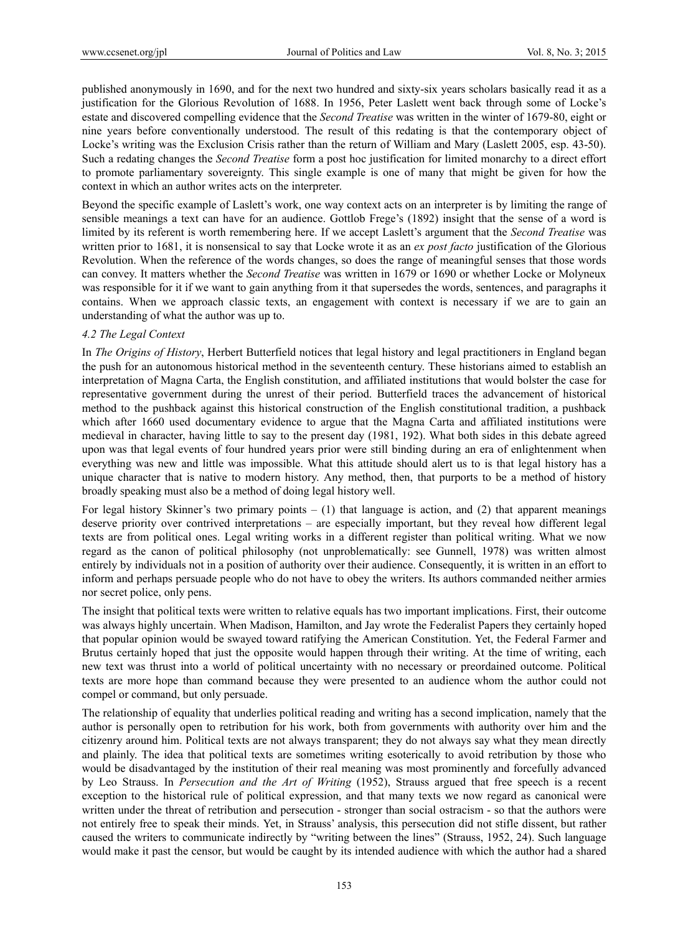published anonymously in 1690, and for the next two hundred and sixty-six years scholars basically read it as a justification for the Glorious Revolution of 1688. In 1956, Peter Laslett went back through some of Locke's estate and discovered compelling evidence that the *Second Treatise* was written in the winter of 1679-80, eight or nine years before conventionally understood. The result of this redating is that the contemporary object of Locke's writing was the Exclusion Crisis rather than the return of William and Mary (Laslett 2005, esp. 43-50). Such a redating changes the *Second Treatise* form a post hoc justification for limited monarchy to a direct effort to promote parliamentary sovereignty. This single example is one of many that might be given for how the context in which an author writes acts on the interpreter.

Beyond the specific example of Laslett's work, one way context acts on an interpreter is by limiting the range of sensible meanings a text can have for an audience. Gottlob Frege's (1892) insight that the sense of a word is limited by its referent is worth remembering here. If we accept Laslett's argument that the *Second Treatise* was written prior to 1681, it is nonsensical to say that Locke wrote it as an *ex post facto* justification of the Glorious Revolution. When the reference of the words changes, so does the range of meaningful senses that those words can convey. It matters whether the *Second Treatise* was written in 1679 or 1690 or whether Locke or Molyneux was responsible for it if we want to gain anything from it that supersedes the words, sentences, and paragraphs it contains. When we approach classic texts, an engagement with context is necessary if we are to gain an understanding of what the author was up to.

# *4.2 The Legal Context*

In *The Origins of History*, Herbert Butterfield notices that legal history and legal practitioners in England began the push for an autonomous historical method in the seventeenth century. These historians aimed to establish an interpretation of Magna Carta, the English constitution, and affiliated institutions that would bolster the case for representative government during the unrest of their period. Butterfield traces the advancement of historical method to the pushback against this historical construction of the English constitutional tradition, a pushback which after 1660 used documentary evidence to argue that the Magna Carta and affiliated institutions were medieval in character, having little to say to the present day (1981, 192). What both sides in this debate agreed upon was that legal events of four hundred years prior were still binding during an era of enlightenment when everything was new and little was impossible. What this attitude should alert us to is that legal history has a unique character that is native to modern history. Any method, then, that purports to be a method of history broadly speaking must also be a method of doing legal history well.

For legal history Skinner's two primary points  $- (1)$  that language is action, and (2) that apparent meanings deserve priority over contrived interpretations – are especially important, but they reveal how different legal texts are from political ones. Legal writing works in a different register than political writing. What we now regard as the canon of political philosophy (not unproblematically: see Gunnell, 1978) was written almost entirely by individuals not in a position of authority over their audience. Consequently, it is written in an effort to inform and perhaps persuade people who do not have to obey the writers. Its authors commanded neither armies nor secret police, only pens.

The insight that political texts were written to relative equals has two important implications. First, their outcome was always highly uncertain. When Madison, Hamilton, and Jay wrote the Federalist Papers they certainly hoped that popular opinion would be swayed toward ratifying the American Constitution. Yet, the Federal Farmer and Brutus certainly hoped that just the opposite would happen through their writing. At the time of writing, each new text was thrust into a world of political uncertainty with no necessary or preordained outcome. Political texts are more hope than command because they were presented to an audience whom the author could not compel or command, but only persuade.

The relationship of equality that underlies political reading and writing has a second implication, namely that the author is personally open to retribution for his work, both from governments with authority over him and the citizenry around him. Political texts are not always transparent; they do not always say what they mean directly and plainly. The idea that political texts are sometimes writing esoterically to avoid retribution by those who would be disadvantaged by the institution of their real meaning was most prominently and forcefully advanced by Leo Strauss. In *Persecution and the Art of Writing* (1952), Strauss argued that free speech is a recent exception to the historical rule of political expression, and that many texts we now regard as canonical were written under the threat of retribution and persecution - stronger than social ostracism - so that the authors were not entirely free to speak their minds. Yet, in Strauss' analysis, this persecution did not stifle dissent, but rather caused the writers to communicate indirectly by "writing between the lines" (Strauss, 1952, 24). Such language would make it past the censor, but would be caught by its intended audience with which the author had a shared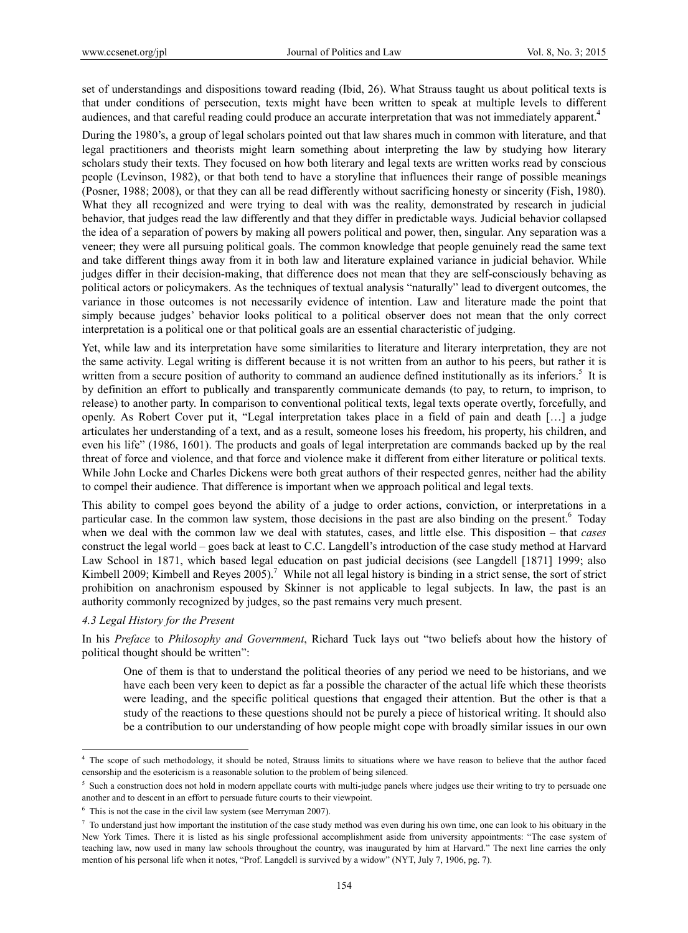set of understandings and dispositions toward reading (Ibid, 26). What Strauss taught us about political texts is that under conditions of persecution, texts might have been written to speak at multiple levels to different audiences, and that careful reading could produce an accurate interpretation that was not immediately apparent.<sup>4</sup>

During the 1980's, a group of legal scholars pointed out that law shares much in common with literature, and that legal practitioners and theorists might learn something about interpreting the law by studying how literary scholars study their texts. They focused on how both literary and legal texts are written works read by conscious people (Levinson, 1982), or that both tend to have a storyline that influences their range of possible meanings (Posner, 1988; 2008), or that they can all be read differently without sacrificing honesty or sincerity (Fish, 1980). What they all recognized and were trying to deal with was the reality, demonstrated by research in judicial behavior, that judges read the law differently and that they differ in predictable ways. Judicial behavior collapsed the idea of a separation of powers by making all powers political and power, then, singular. Any separation was a veneer; they were all pursuing political goals. The common knowledge that people genuinely read the same text and take different things away from it in both law and literature explained variance in judicial behavior. While judges differ in their decision-making, that difference does not mean that they are self-consciously behaving as political actors or policymakers. As the techniques of textual analysis "naturally" lead to divergent outcomes, the variance in those outcomes is not necessarily evidence of intention. Law and literature made the point that simply because judges' behavior looks political to a political observer does not mean that the only correct interpretation is a political one or that political goals are an essential characteristic of judging.

Yet, while law and its interpretation have some similarities to literature and literary interpretation, they are not the same activity. Legal writing is different because it is not written from an author to his peers, but rather it is written from a secure position of authority to command an audience defined institutionally as its inferiors.<sup>5</sup> It is by definition an effort to publically and transparently communicate demands (to pay, to return, to imprison, to release) to another party. In comparison to conventional political texts, legal texts operate overtly, forcefully, and openly. As Robert Cover put it, "Legal interpretation takes place in a field of pain and death […] a judge articulates her understanding of a text, and as a result, someone loses his freedom, his property, his children, and even his life" (1986, 1601). The products and goals of legal interpretation are commands backed up by the real threat of force and violence, and that force and violence make it different from either literature or political texts. While John Locke and Charles Dickens were both great authors of their respected genres, neither had the ability to compel their audience. That difference is important when we approach political and legal texts.

This ability to compel goes beyond the ability of a judge to order actions, conviction, or interpretations in a particular case. In the common law system, those decisions in the past are also binding on the present.<sup>6</sup> Today when we deal with the common law we deal with statutes, cases, and little else. This disposition – that *cases* construct the legal world – goes back at least to C.C. Langdell's introduction of the case study method at Harvard Law School in 1871, which based legal education on past judicial decisions (see Langdell [1871] 1999; also Kimbell 2009; Kimbell and Reyes 2005).<sup>7</sup> While not all legal history is binding in a strict sense, the sort of strict prohibition on anachronism espoused by Skinner is not applicable to legal subjects. In law, the past is an authority commonly recognized by judges, so the past remains very much present.

#### *4.3 Legal History for the Present*

 $\overline{a}$ 

In his *Preface* to *Philosophy and Government*, Richard Tuck lays out "two beliefs about how the history of political thought should be written":

One of them is that to understand the political theories of any period we need to be historians, and we have each been very keen to depict as far a possible the character of the actual life which these theorists were leading, and the specific political questions that engaged their attention. But the other is that a study of the reactions to these questions should not be purely a piece of historical writing. It should also be a contribution to our understanding of how people might cope with broadly similar issues in our own

<sup>&</sup>lt;sup>4</sup> The scope of such methodology, it should be noted, Strauss limits to situations where we have reason to believe that the author faced censorship and the esotericism is a reasonable solution to the problem of being silenced.

 $5$  Such a construction does not hold in modern appellate courts with multi-judge panels where judges use their writing to try to persuade one another and to descent in an effort to persuade future courts to their viewpoint.

 $6$  This is not the case in the civil law system (see Merryman 2007).

 $\frac{7}{10}$  To understand just how important the institution of the case study method was even during his own time, one can look to his obituary in the New York Times. There it is listed as his single professional accomplishment aside from university appointments: "The case system of teaching law, now used in many law schools throughout the country, was inaugurated by him at Harvard." The next line carries the only mention of his personal life when it notes, "Prof. Langdell is survived by a widow" (NYT, July 7, 1906, pg. 7).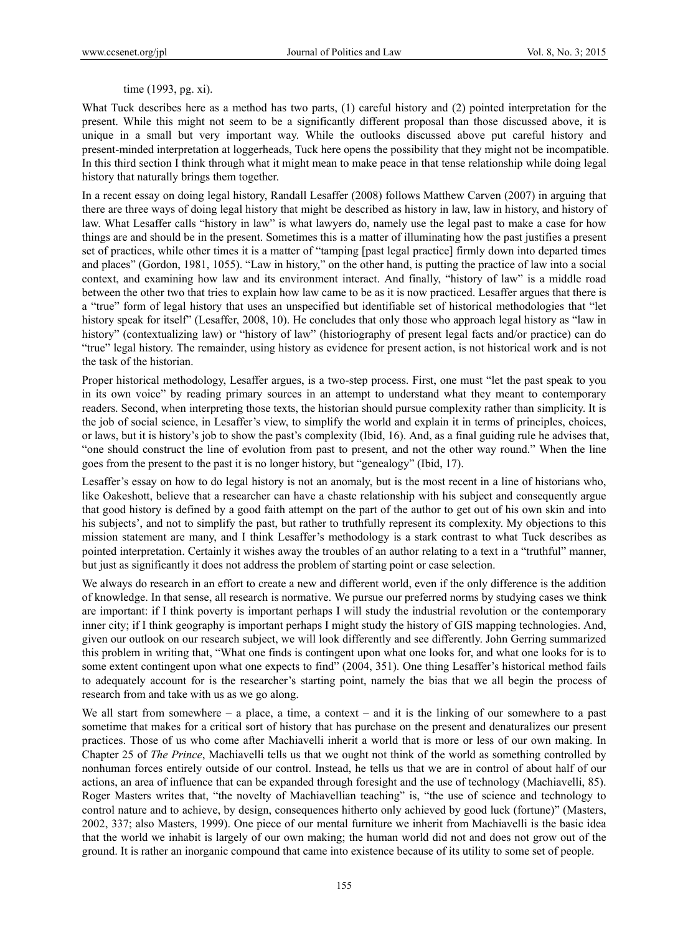# time (1993, pg. xi).

What Tuck describes here as a method has two parts, (1) careful history and (2) pointed interpretation for the present. While this might not seem to be a significantly different proposal than those discussed above, it is unique in a small but very important way. While the outlooks discussed above put careful history and present-minded interpretation at loggerheads, Tuck here opens the possibility that they might not be incompatible. In this third section I think through what it might mean to make peace in that tense relationship while doing legal history that naturally brings them together.

In a recent essay on doing legal history, Randall Lesaffer (2008) follows Matthew Carven (2007) in arguing that there are three ways of doing legal history that might be described as history in law, law in history, and history of law. What Lesaffer calls "history in law" is what lawyers do, namely use the legal past to make a case for how things are and should be in the present. Sometimes this is a matter of illuminating how the past justifies a present set of practices, while other times it is a matter of "tamping [past legal practice] firmly down into departed times and places" (Gordon, 1981, 1055). "Law in history," on the other hand, is putting the practice of law into a social context, and examining how law and its environment interact. And finally, "history of law" is a middle road between the other two that tries to explain how law came to be as it is now practiced. Lesaffer argues that there is a "true" form of legal history that uses an unspecified but identifiable set of historical methodologies that "let history speak for itself" (Lesaffer, 2008, 10). He concludes that only those who approach legal history as "law in history" (contextualizing law) or "history of law" (historiography of present legal facts and/or practice) can do "true" legal history. The remainder, using history as evidence for present action, is not historical work and is not the task of the historian.

Proper historical methodology, Lesaffer argues, is a two-step process. First, one must "let the past speak to you in its own voice" by reading primary sources in an attempt to understand what they meant to contemporary readers. Second, when interpreting those texts, the historian should pursue complexity rather than simplicity. It is the job of social science, in Lesaffer's view, to simplify the world and explain it in terms of principles, choices, or laws, but it is history's job to show the past's complexity (Ibid, 16). And, as a final guiding rule he advises that, "one should construct the line of evolution from past to present, and not the other way round." When the line goes from the present to the past it is no longer history, but "genealogy" (Ibid, 17).

Lesaffer's essay on how to do legal history is not an anomaly, but is the most recent in a line of historians who, like Oakeshott, believe that a researcher can have a chaste relationship with his subject and consequently argue that good history is defined by a good faith attempt on the part of the author to get out of his own skin and into his subjects', and not to simplify the past, but rather to truthfully represent its complexity. My objections to this mission statement are many, and I think Lesaffer's methodology is a stark contrast to what Tuck describes as pointed interpretation. Certainly it wishes away the troubles of an author relating to a text in a "truthful" manner, but just as significantly it does not address the problem of starting point or case selection.

We always do research in an effort to create a new and different world, even if the only difference is the addition of knowledge. In that sense, all research is normative. We pursue our preferred norms by studying cases we think are important: if I think poverty is important perhaps I will study the industrial revolution or the contemporary inner city; if I think geography is important perhaps I might study the history of GIS mapping technologies. And, given our outlook on our research subject, we will look differently and see differently. John Gerring summarized this problem in writing that, "What one finds is contingent upon what one looks for, and what one looks for is to some extent contingent upon what one expects to find" (2004, 351). One thing Lesaffer's historical method fails to adequately account for is the researcher's starting point, namely the bias that we all begin the process of research from and take with us as we go along.

We all start from somewhere – a place, a time, a context – and it is the linking of our somewhere to a past sometime that makes for a critical sort of history that has purchase on the present and denaturalizes our present practices. Those of us who come after Machiavelli inherit a world that is more or less of our own making. In Chapter 25 of *The Prince*, Machiavelli tells us that we ought not think of the world as something controlled by nonhuman forces entirely outside of our control. Instead, he tells us that we are in control of about half of our actions, an area of influence that can be expanded through foresight and the use of technology (Machiavelli, 85). Roger Masters writes that, "the novelty of Machiavellian teaching" is, "the use of science and technology to control nature and to achieve, by design, consequences hitherto only achieved by good luck (fortune)" (Masters, 2002, 337; also Masters, 1999). One piece of our mental furniture we inherit from Machiavelli is the basic idea that the world we inhabit is largely of our own making; the human world did not and does not grow out of the ground. It is rather an inorganic compound that came into existence because of its utility to some set of people.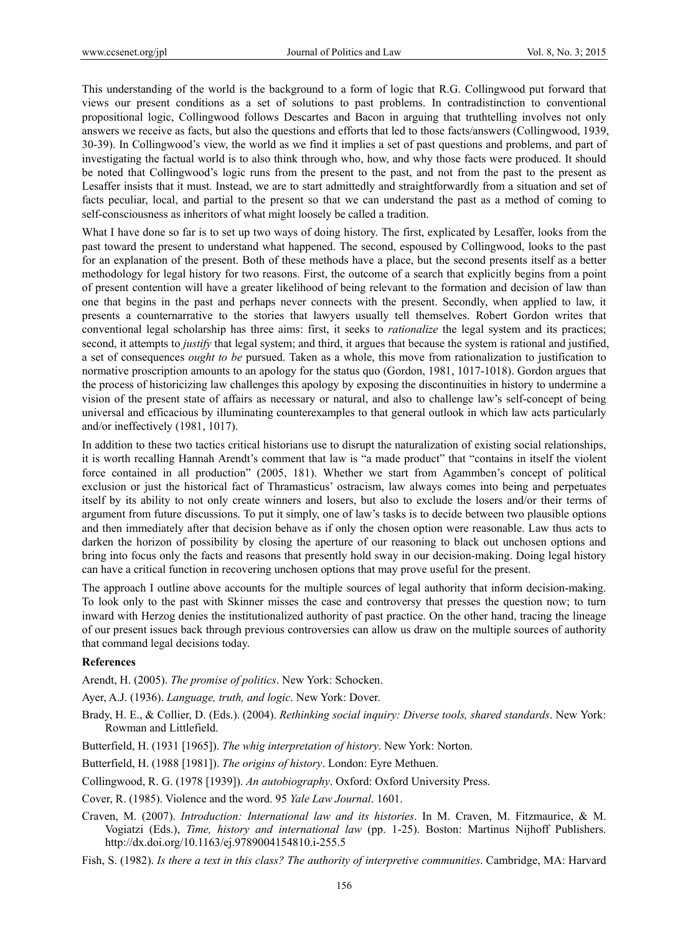This understanding of the world is the background to a form of logic that R.G. Collingwood put forward that views our present conditions as a set of solutions to past problems. In contradistinction to conventional propositional logic, Collingwood follows Descartes and Bacon in arguing that truthtelling involves not only answers we receive as facts, but also the questions and efforts that led to those facts/answers (Collingwood, 1939, 30-39). In Collingwood's view, the world as we find it implies a set of past questions and problems, and part of investigating the factual world is to also think through who, how, and why those facts were produced. It should be noted that Collingwood's logic runs from the present to the past, and not from the past to the present as Lesaffer insists that it must. Instead, we are to start admittedly and straightforwardly from a situation and set of facts peculiar, local, and partial to the present so that we can understand the past as a method of coming to self-consciousness as inheritors of what might loosely be called a tradition.

What I have done so far is to set up two ways of doing history. The first, explicated by Lesaffer, looks from the past toward the present to understand what happened. The second, espoused by Collingwood, looks to the past for an explanation of the present. Both of these methods have a place, but the second presents itself as a better methodology for legal history for two reasons. First, the outcome of a search that explicitly begins from a point of present contention will have a greater likelihood of being relevant to the formation and decision of law than one that begins in the past and perhaps never connects with the present. Secondly, when applied to law, it presents a counternarrative to the stories that lawyers usually tell themselves. Robert Gordon writes that conventional legal scholarship has three aims: first, it seeks to *rationalize* the legal system and its practices; second, it attempts to *justify* that legal system; and third, it argues that because the system is rational and justified, a set of consequences *ought to be* pursued. Taken as a whole, this move from rationalization to justification to normative proscription amounts to an apology for the status quo (Gordon, 1981, 1017-1018). Gordon argues that the process of historicizing law challenges this apology by exposing the discontinuities in history to undermine a vision of the present state of affairs as necessary or natural, and also to challenge law's self-concept of being universal and efficacious by illuminating counterexamples to that general outlook in which law acts particularly and/or ineffectively (1981, 1017).

In addition to these two tactics critical historians use to disrupt the naturalization of existing social relationships, it is worth recalling Hannah Arendt's comment that law is "a made product" that "contains in itself the violent force contained in all production" (2005, 181). Whether we start from Agammben's concept of political exclusion or just the historical fact of Thramasticus' ostracism, law always comes into being and perpetuates itself by its ability to not only create winners and losers, but also to exclude the losers and/or their terms of argument from future discussions. To put it simply, one of law's tasks is to decide between two plausible options and then immediately after that decision behave as if only the chosen option were reasonable. Law thus acts to darken the horizon of possibility by closing the aperture of our reasoning to black out unchosen options and bring into focus only the facts and reasons that presently hold sway in our decision-making. Doing legal history can have a critical function in recovering unchosen options that may prove useful for the present.

The approach I outline above accounts for the multiple sources of legal authority that inform decision-making. To look only to the past with Skinner misses the case and controversy that presses the question now; to turn inward with Herzog denies the institutionalized authority of past practice. On the other hand, tracing the lineage of our present issues back through previous controversies can allow us draw on the multiple sources of authority that command legal decisions today.

## **References**

Arendt, H. (2005). *The promise of politics*. New York: Schocken.

Ayer, A.J. (1936). *Language, truth, and logic*. New York: Dover.

- Brady, H. E., & Collier, D. (Eds.). (2004). *Rethinking social inquiry: Diverse tools, shared standards*. New York: Rowman and Littlefield.
- Butterfield, H. (1931 [1965]). *The whig interpretation of history*. New York: Norton.
- Butterfield, H. (1988 [1981]). *The origins of history*. London: Eyre Methuen.
- Collingwood, R. G. (1978 [1939]). *An autobiography*. Oxford: Oxford University Press.

Cover, R. (1985). Violence and the word. 95 *Yale Law Journal*. 1601.

Craven, M. (2007). *Introduction: International law and its histories*. In M. Craven, M. Fitzmaurice, & M. Vogiatzi (Eds.), *Time, history and international law* (pp. 1-25). Boston: Martinus Nijhoff Publishers. http://dx.doi.org/10.1163/ej.9789004154810.i-255.5

Fish, S. (1982). *Is there a text in this class? The authority of interpretive communities*. Cambridge, MA: Harvard